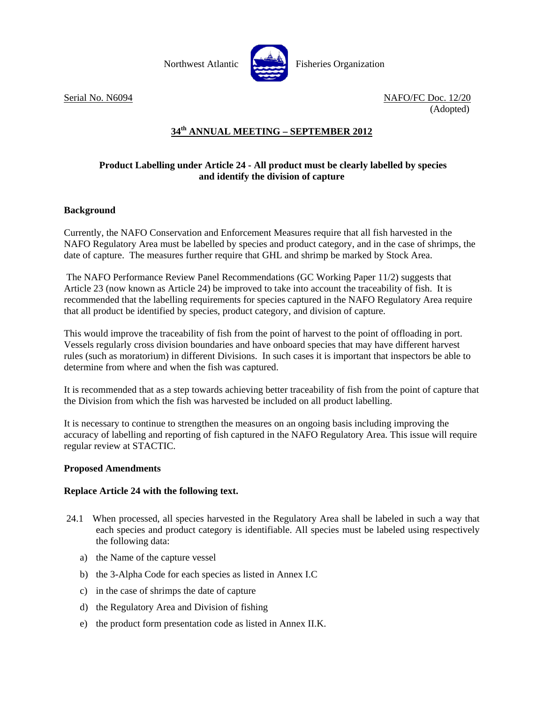

Serial No. N6094 NAFO/FC Doc. 12/20 (Adopted)

# **34th ANNUAL MEETING – SEPTEMBER 2012**

## **Product Labelling under Article 24 - All product must be clearly labelled by species and identify the division of capture**

## **Background**

Currently, the NAFO Conservation and Enforcement Measures require that all fish harvested in the NAFO Regulatory Area must be labelled by species and product category, and in the case of shrimps, the date of capture. The measures further require that GHL and shrimp be marked by Stock Area.

 The NAFO Performance Review Panel Recommendations (GC Working Paper 11/2) suggests that Article 23 (now known as Article 24) be improved to take into account the traceability of fish. It is recommended that the labelling requirements for species captured in the NAFO Regulatory Area require that all product be identified by species, product category, and division of capture.

This would improve the traceability of fish from the point of harvest to the point of offloading in port. Vessels regularly cross division boundaries and have onboard species that may have different harvest rules (such as moratorium) in different Divisions. In such cases it is important that inspectors be able to determine from where and when the fish was captured.

It is recommended that as a step towards achieving better traceability of fish from the point of capture that the Division from which the fish was harvested be included on all product labelling.

It is necessary to continue to strengthen the measures on an ongoing basis including improving the accuracy of labelling and reporting of fish captured in the NAFO Regulatory Area. This issue will require regular review at STACTIC.

### **Proposed Amendments**

### **Replace Article 24 with the following text.**

- 24.1 When processed, all species harvested in the Regulatory Area shall be labeled in such a way that each species and product category is identifiable. All species must be labeled using respectively the following data:
	- a) the Name of the capture vessel
	- b) the 3-Alpha Code for each species as listed in Annex I.C
	- c) in the case of shrimps the date of capture
	- d) the Regulatory Area and Division of fishing
	- e) the product form presentation code as listed in Annex II.K.